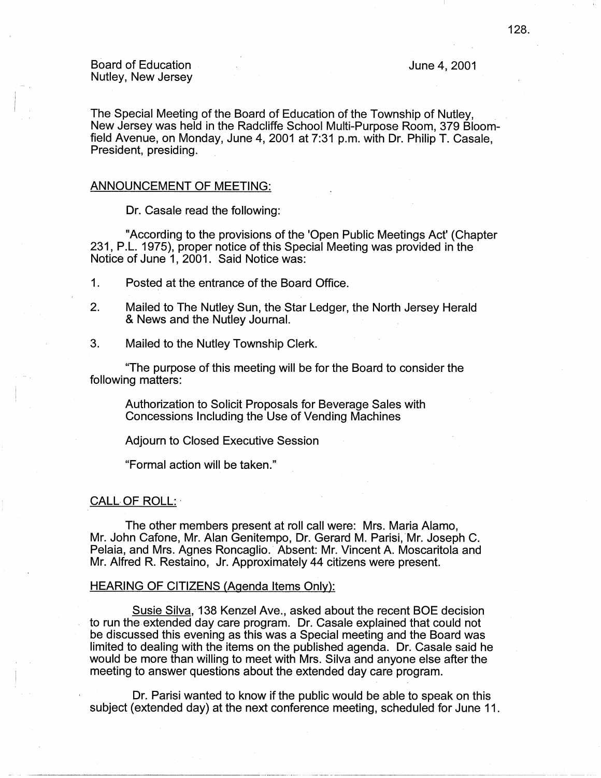Board of Education Nutley, New Jersey June 4, 2001

The Special Meeting of the Board of Education of the Township of Nutley, New Jersey was held in the Radcliffe School Multi-Purpose Room, 379 Bloomfield Avenue, on Monday, June 4, 2001 at 7:31 p.m. with Dr. Philip T. Casale, President, presiding.

# ANNOUNCEMENT OF MEETING:

Dr. Casale read the following:

"According to the provisions of the 'Open Public Meetings Act' (Chapter 231, P.L. 1975), proper notice of this Special Meeting was provided in the Notice of June 1, 2001. Said Notice was:

- 1. Posted at the entrance of the Board Office.
- 2. Mailed to The Nutley Sun, the Star Ledger, the North Jersey Herald & News and the Nutley Journal.
- 3. Mailed to the Nutley Township Clerk.

"The purpose of this meeting will be for the Board to consider the following matters:

Authorization to Solicit Proposals for Beverage Sales with Concessions Including the Use of Vending Machines

Adjourn to Closed Executive Session

"Formal action will be taken."

### CALL OF ROLL: ·

The other members present at roll call were: Mrs. Maria Alamo, Mr. John Cafone, Mr. Alan Genitempo, Dr. Gerard M. Parisi, Mr. Joseph C. Pelaia, and Mrs. Agnes Roncaglio. Absent: Mr. Vincent A. Moscaritola and Mr. Alfred R. Restaino, Jr. Approximately 44 citizens were present.

#### HEARING OF CITIZENS (Agenda Items Only):

Susie Silva, 138 Kenzel Ave., asked about the recent BOE decision to run the extended day care program. Dr. Casale explained that could not be discussed this evening as this was a Special meeting and the Board was limited to dealing with the items on the published agenda. Dr. Casale said he would be more than willing to meet with Mrs. Silva and anyone else after the meeting to answer questions about the extended day care program.

Dr. Parisi wanted to know if the public would be able to speak on this subject (extended day) at the next conference meeting, scheduled for June 11.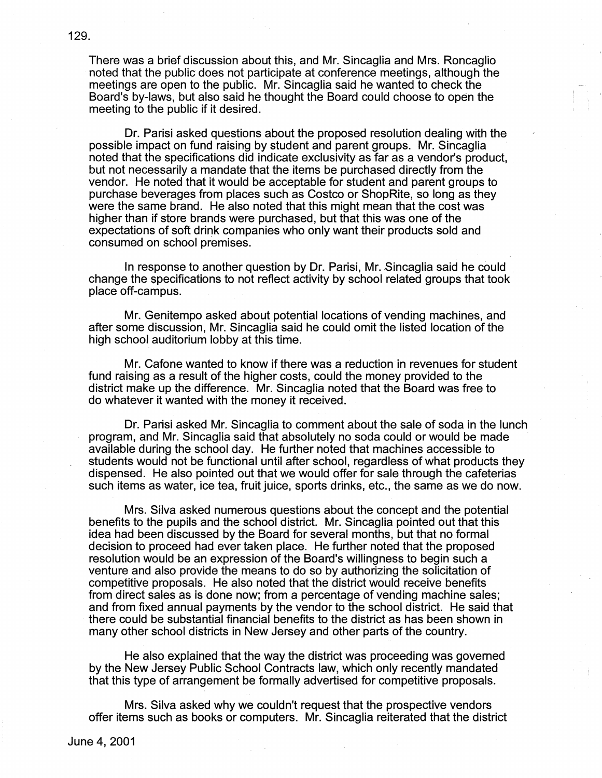There was a brief discussion about this, and Mr. Sincaglia and Mrs. Roncaglio noted that the public does not participate at conference meetings, although the meetings are open to the public. Mr. Sincaglia said he wanted to check the Board's by-laws, but also said he thought the Board could choose to open the meeting to the public if it desired.

Dr. Parisi asked questions about the proposed resolution dealing with the possible impact on fund raising by student and parent groups. Mr. Sincaglia noted that the specifications did indicate exclusivity as far as a vendor's product, but not necessarily a mandate that the items be purchased directly from the vendor. He noted that it would be acceptable for student and parent groups to purchase beverages from places such as Costco or ShopRite, so long as they were the same brand. He also noted that this might mean that the cost was higher than if store brands were purchased, but that this was one of the expectations of soft drink companies who only want their products sold and consumed on school premises.

In response to another question by Dr. Parisi, Mr. Sincaglia said he could change the specifications to not reflect activity by school related groups that took place off-campus.

Mr. Genitempo asked about potential locations of vending machines, and after some discussion, Mr. Sincaglia said he could omit the listed location of the high school auditorium lobby at this time.

Mr. Cafone wanted to know if there was a reduction in revenues for student fund raising as a result of the higher costs, could the money provided to the district make up the difference. Mr. Sincaglia noted that the Board was free to do whatever it wanted with the money it received.

Dr. Parisi asked Mr. Sincaglia to comment about the sale of soda in the lunch program, and Mr. Sincaglia said that absolutely no soda could or would be made available during the school day. He further noted that machines accessible to students would not be functional until after school, regardless of what products they dispensed. He also pointed out that we would offer for sale through the cafeterias such items as water, ice tea, fruit juice, sports drinks, etc., the same as we do now.

Mrs. Silva asked numerous questions about the concept and the potential benefits to the pupils and the school district. Mr. Sincaglia pointed out that this idea had been discussed by the Board for several months, but that no formal decision to proceed had ever taken place. He further noted that the proposed resolution would be an expression of the Board's willingness to begin such a venture and also provide the means to do so by authorizing the solicitation of competitive proposals. He also noted that the district would receive benefits from direct sales as is done now; from a percentage of vending machine sales; and from fixed annual payments by the vendor to the school district. He said that there could be substantial financial benefits to the district as has been shown in many other school districts in New Jersey and other parts of the country.

He also explained that the way the district was proceeding was governed by the New Jersey Public School Contracts law, which only recently mandated that this type of arrangement be formally advertised for competitive proposals.

Mrs. Silva asked why we couldn't request that the prospective vendors offer items such as books or computers. Mr. Sincaglia reiterated that the district